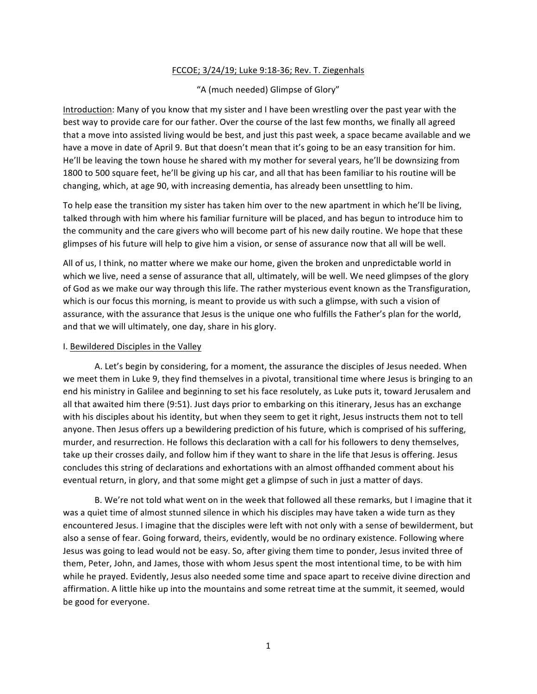## FCCOE; 3/24/19; Luke 9:18-36; Rev. T. Ziegenhals

"A (much needed) Glimpse of Glory"

Introduction: Many of you know that my sister and I have been wrestling over the past year with the best way to provide care for our father. Over the course of the last few months, we finally all agreed that a move into assisted living would be best, and just this past week, a space became available and we have a move in date of April 9. But that doesn't mean that it's going to be an easy transition for him. He'll be leaving the town house he shared with my mother for several years, he'll be downsizing from 1800 to 500 square feet, he'll be giving up his car, and all that has been familiar to his routine will be changing, which, at age 90, with increasing dementia, has already been unsettling to him.

To help ease the transition my sister has taken him over to the new apartment in which he'll be living, talked through with him where his familiar furniture will be placed, and has begun to introduce him to the community and the care givers who will become part of his new daily routine. We hope that these glimpses of his future will help to give him a vision, or sense of assurance now that all will be well.

All of us, I think, no matter where we make our home, given the broken and unpredictable world in which we live, need a sense of assurance that all, ultimately, will be well. We need glimpses of the glory of God as we make our way through this life. The rather mysterious event known as the Transfiguration, which is our focus this morning, is meant to provide us with such a glimpse, with such a vision of assurance, with the assurance that Jesus is the unique one who fulfills the Father's plan for the world, and that we will ultimately, one day, share in his glory.

## I. Bewildered Disciples in the Valley

A. Let's begin by considering, for a moment, the assurance the disciples of Jesus needed. When we meet them in Luke 9, they find themselves in a pivotal, transitional time where Jesus is bringing to an end his ministry in Galilee and beginning to set his face resolutely, as Luke puts it, toward Jerusalem and all that awaited him there (9:51). Just days prior to embarking on this itinerary, Jesus has an exchange with his disciples about his identity, but when they seem to get it right, Jesus instructs them not to tell anyone. Then Jesus offers up a bewildering prediction of his future, which is comprised of his suffering, murder, and resurrection. He follows this declaration with a call for his followers to deny themselves, take up their crosses daily, and follow him if they want to share in the life that Jesus is offering. Jesus concludes this string of declarations and exhortations with an almost offhanded comment about his eventual return, in glory, and that some might get a glimpse of such in just a matter of days.

B. We're not told what went on in the week that followed all these remarks, but I imagine that it was a quiet time of almost stunned silence in which his disciples may have taken a wide turn as they encountered Jesus. I imagine that the disciples were left with not only with a sense of bewilderment, but also a sense of fear. Going forward, theirs, evidently, would be no ordinary existence. Following where Jesus was going to lead would not be easy. So, after giving them time to ponder, Jesus invited three of them, Peter, John, and James, those with whom Jesus spent the most intentional time, to be with him while he prayed. Evidently, Jesus also needed some time and space apart to receive divine direction and affirmation. A little hike up into the mountains and some retreat time at the summit, it seemed, would be good for everyone.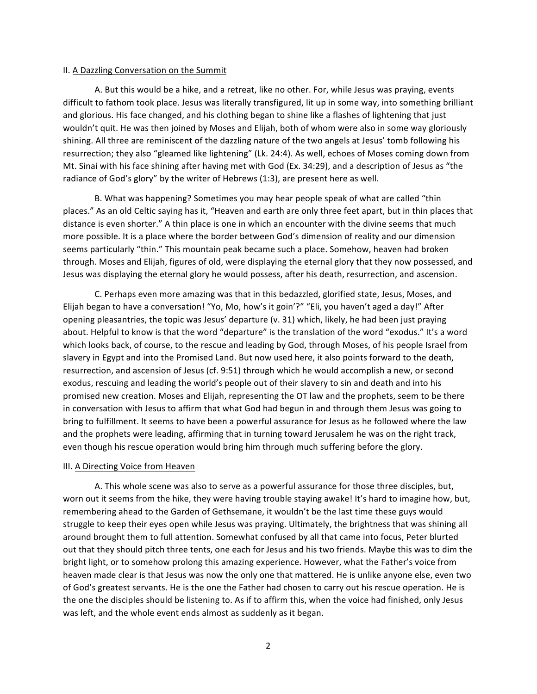## II. A Dazzling Conversation on the Summit

A. But this would be a hike, and a retreat, like no other. For, while Jesus was praying, events difficult to fathom took place. Jesus was literally transfigured, lit up in some way, into something brilliant and glorious. His face changed, and his clothing began to shine like a flashes of lightening that just wouldn't quit. He was then joined by Moses and Elijah, both of whom were also in some way gloriously shining. All three are reminiscent of the dazzling nature of the two angels at Jesus' tomb following his resurrection; they also "gleamed like lightening" (Lk. 24:4). As well, echoes of Moses coming down from Mt. Sinai with his face shining after having met with God (Ex. 34:29), and a description of Jesus as "the radiance of God's glory" by the writer of Hebrews (1:3), are present here as well.

B. What was happening? Sometimes you may hear people speak of what are called "thin places." As an old Celtic saying has it, "Heaven and earth are only three feet apart, but in thin places that distance is even shorter." A thin place is one in which an encounter with the divine seems that much more possible. It is a place where the border between God's dimension of reality and our dimension seems particularly "thin." This mountain peak became such a place. Somehow, heaven had broken through. Moses and Elijah, figures of old, were displaying the eternal glory that they now possessed, and Jesus was displaying the eternal glory he would possess, after his death, resurrection, and ascension.

C. Perhaps even more amazing was that in this bedazzled, glorified state, Jesus, Moses, and Elijah began to have a conversation! "Yo, Mo, how's it goin'?" "Eli, you haven't aged a day!" After opening pleasantries, the topic was Jesus' departure (v. 31) which, likely, he had been just praying about. Helpful to know is that the word "departure" is the translation of the word "exodus." It's a word which looks back, of course, to the rescue and leading by God, through Moses, of his people Israel from slavery in Egypt and into the Promised Land. But now used here, it also points forward to the death, resurrection, and ascension of Jesus (cf. 9:51) through which he would accomplish a new, or second exodus, rescuing and leading the world's people out of their slavery to sin and death and into his promised new creation. Moses and Elijah, representing the OT law and the prophets, seem to be there in conversation with Jesus to affirm that what God had begun in and through them Jesus was going to bring to fulfillment. It seems to have been a powerful assurance for Jesus as he followed where the law and the prophets were leading, affirming that in turning toward Jerusalem he was on the right track, even though his rescue operation would bring him through much suffering before the glory.

## III. A Directing Voice from Heaven

A. This whole scene was also to serve as a powerful assurance for those three disciples, but, worn out it seems from the hike, they were having trouble staying awake! It's hard to imagine how, but, remembering ahead to the Garden of Gethsemane, it wouldn't be the last time these guys would struggle to keep their eyes open while Jesus was praying. Ultimately, the brightness that was shining all around brought them to full attention. Somewhat confused by all that came into focus, Peter blurted out that they should pitch three tents, one each for Jesus and his two friends. Maybe this was to dim the bright light, or to somehow prolong this amazing experience. However, what the Father's voice from heaven made clear is that Jesus was now the only one that mattered. He is unlike anyone else, even two of God's greatest servants. He is the one the Father had chosen to carry out his rescue operation. He is the one the disciples should be listening to. As if to affirm this, when the voice had finished, only Jesus was left, and the whole event ends almost as suddenly as it began.